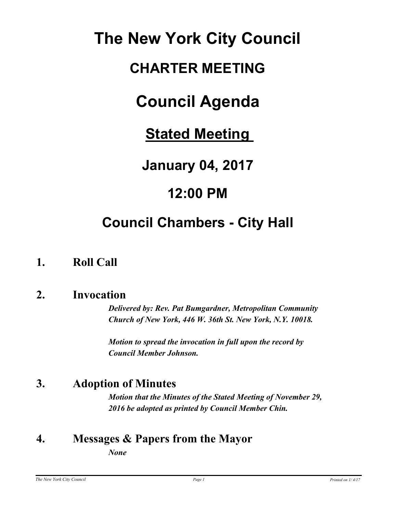# **The New York City Council**

# **CHARTER MEETING**

# **Council Agenda**

**Stated Meeting** 

**January 04, 2017**

# **12:00 PM**

# **Council Chambers - City Hall**

## **1. Roll Call**

### **2. Invocation**

*Delivered by: Rev. Pat Bumgardner, Metropolitan Community Church of New York, 446 W. 36th St. New York, N.Y. 10018.*

*Motion to spread the invocation in full upon the record by Council Member Johnson.*

## **3. Adoption of Minutes**

*Motion that the Minutes of the Stated Meeting of November 29, 2016 be adopted as printed by Council Member Chin.*

## **4. Messages & Papers from the Mayor**

*None*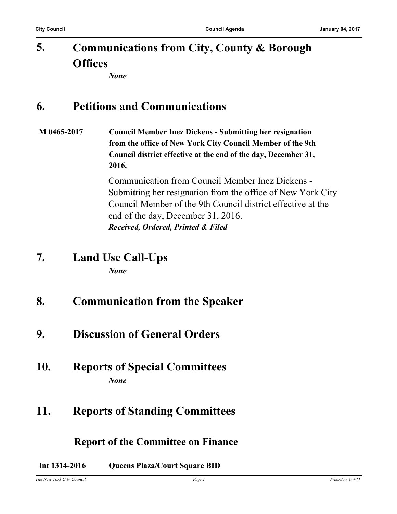#### **Communications from City, County & Borough Offices 5.**

*None*

### **6. Petitions and Communications**

**M 0465-2017 Council Member Inez Dickens - Submitting her resignation from the office of New York City Council Member of the 9th Council district effective at the end of the day, December 31, 2016.**

> Communication from Council Member Inez Dickens - Submitting her resignation from the office of New York City Council Member of the 9th Council district effective at the end of the day, December 31, 2016. *Received, Ordered, Printed & Filed*

- **7. Land Use Call-Ups** *None*
- **8. Communication from the Speaker**
- **9. Discussion of General Orders**
- **10. Reports of Special Committees** *None*

### **11. Reports of Standing Committees**

#### **Report of the Committee on Finance**

**Int 1314-2016 Queens Plaza/Court Square BID**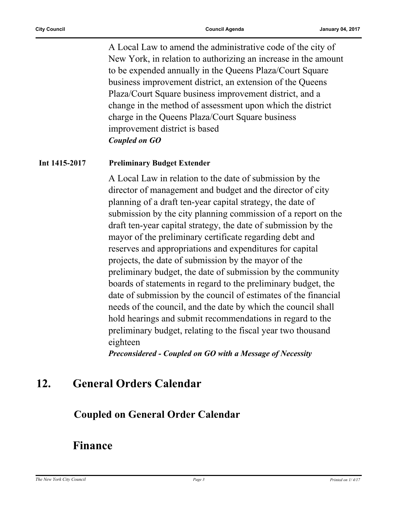A Local Law to amend the administrative code of the city of New York, in relation to authorizing an increase in the amount to be expended annually in the Queens Plaza/Court Square business improvement district, an extension of the Queens Plaza/Court Square business improvement district, and a change in the method of assessment upon which the district charge in the Queens Plaza/Court Square business improvement district is based *Coupled on GO*

#### **Int 1415-2017 Preliminary Budget Extender**

A Local Law in relation to the date of submission by the director of management and budget and the director of city planning of a draft ten-year capital strategy, the date of submission by the city planning commission of a report on the draft ten-year capital strategy, the date of submission by the mayor of the preliminary certificate regarding debt and reserves and appropriations and expenditures for capital projects, the date of submission by the mayor of the preliminary budget, the date of submission by the community boards of statements in regard to the preliminary budget, the date of submission by the council of estimates of the financial needs of the council, and the date by which the council shall hold hearings and submit recommendations in regard to the preliminary budget, relating to the fiscal year two thousand eighteen

*Preconsidered - Coupled on GO with a Message of Necessity*

### **12. General Orders Calendar**

#### **Coupled on General Order Calendar**

#### **Finance**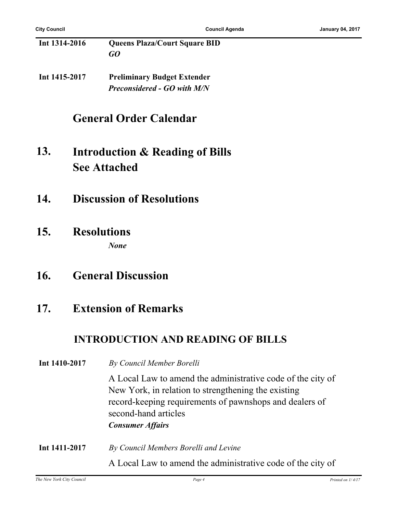**Int 1314-2016 Queens Plaza/Court Square BID** *GO*

**Int 1415-2017 Preliminary Budget Extender** *Preconsidered - GO with M/N*

### **General Order Calendar**

- **Introduction & Reading of Bills See Attached 13.**
- **14. Discussion of Resolutions**
- **15. Resolutions** *None*
- **16. General Discussion**

#### **17. Extension of Remarks**

#### **INTRODUCTION AND READING OF BILLS**

#### **Int 1410-2017** *By Council Member Borelli*

A Local Law to amend the administrative code of the city of New York, in relation to strengthening the existing record-keeping requirements of pawnshops and dealers of second-hand articles *Consumer Affairs*

**Int 1411-2017** *By Council Members Borelli and Levine* A Local Law to amend the administrative code of the city of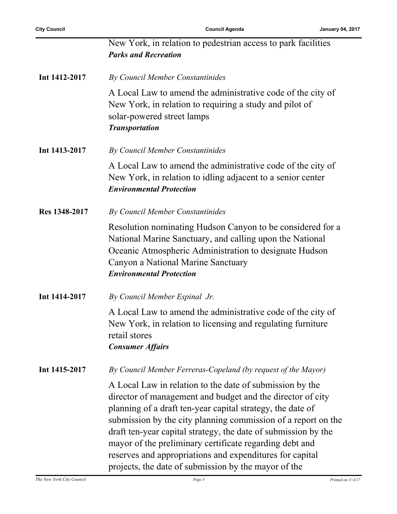|               | New York, in relation to pedestrian access to park facilities<br><b>Parks and Recreation</b>                                                                                                                                                                                                                                                                                                                                                                                                           |
|---------------|--------------------------------------------------------------------------------------------------------------------------------------------------------------------------------------------------------------------------------------------------------------------------------------------------------------------------------------------------------------------------------------------------------------------------------------------------------------------------------------------------------|
| Int 1412-2017 | By Council Member Constantinides                                                                                                                                                                                                                                                                                                                                                                                                                                                                       |
|               | A Local Law to amend the administrative code of the city of<br>New York, in relation to requiring a study and pilot of<br>solar-powered street lamps<br><b>Transportation</b>                                                                                                                                                                                                                                                                                                                          |
| Int 1413-2017 | By Council Member Constantinides                                                                                                                                                                                                                                                                                                                                                                                                                                                                       |
|               | A Local Law to amend the administrative code of the city of<br>New York, in relation to idling adjacent to a senior center<br><b>Environmental Protection</b>                                                                                                                                                                                                                                                                                                                                          |
| Res 1348-2017 | By Council Member Constantinides                                                                                                                                                                                                                                                                                                                                                                                                                                                                       |
|               | Resolution nominating Hudson Canyon to be considered for a<br>National Marine Sanctuary, and calling upon the National<br>Oceanic Atmospheric Administration to designate Hudson<br>Canyon a National Marine Sanctuary<br><b>Environmental Protection</b>                                                                                                                                                                                                                                              |
| Int 1414-2017 | By Council Member Espinal Jr.                                                                                                                                                                                                                                                                                                                                                                                                                                                                          |
|               | A Local Law to amend the administrative code of the city of<br>New York, in relation to licensing and regulating furniture<br>retail stores<br><b>Consumer Affairs</b>                                                                                                                                                                                                                                                                                                                                 |
| Int 1415-2017 | By Council Member Ferreras-Copeland (by request of the Mayor)                                                                                                                                                                                                                                                                                                                                                                                                                                          |
|               | A Local Law in relation to the date of submission by the<br>director of management and budget and the director of city<br>planning of a draft ten-year capital strategy, the date of<br>submission by the city planning commission of a report on the<br>draft ten-year capital strategy, the date of submission by the<br>mayor of the preliminary certificate regarding debt and<br>reserves and appropriations and expenditures for capital<br>projects, the date of submission by the mayor of the |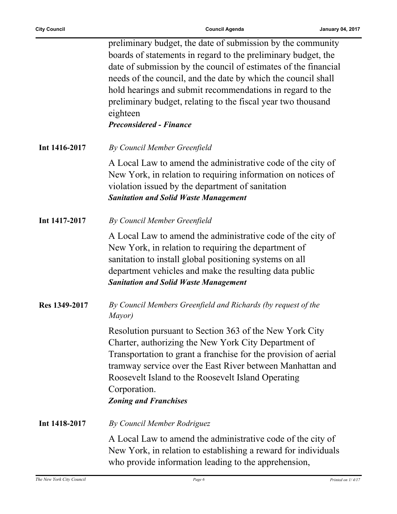$\mathbf{r}$ 

|               | preliminary budget, the date of submission by the community<br>boards of statements in regard to the preliminary budget, the<br>date of submission by the council of estimates of the financial<br>needs of the council, and the date by which the council shall<br>hold hearings and submit recommendations in regard to the<br>preliminary budget, relating to the fiscal year two thousand<br>eighteen<br><b>Preconsidered - Finance</b> |
|---------------|---------------------------------------------------------------------------------------------------------------------------------------------------------------------------------------------------------------------------------------------------------------------------------------------------------------------------------------------------------------------------------------------------------------------------------------------|
| Int 1416-2017 | By Council Member Greenfield                                                                                                                                                                                                                                                                                                                                                                                                                |
|               | A Local Law to amend the administrative code of the city of<br>New York, in relation to requiring information on notices of<br>violation issued by the department of sanitation<br><b>Sanitation and Solid Waste Management</b>                                                                                                                                                                                                             |
| Int 1417-2017 | By Council Member Greenfield                                                                                                                                                                                                                                                                                                                                                                                                                |
|               | A Local Law to amend the administrative code of the city of<br>New York, in relation to requiring the department of<br>sanitation to install global positioning systems on all<br>department vehicles and make the resulting data public<br><b>Sanitation and Solid Waste Management</b>                                                                                                                                                    |
| Res 1349-2017 | By Council Members Greenfield and Richards (by request of the<br>Mayor)                                                                                                                                                                                                                                                                                                                                                                     |
|               | Resolution pursuant to Section 363 of the New York City<br>Charter, authorizing the New York City Department of<br>Transportation to grant a franchise for the provision of aerial<br>tramway service over the East River between Manhattan and<br>Roosevelt Island to the Roosevelt Island Operating<br>Corporation.<br><b>Zoning and Franchises</b>                                                                                       |
| Int 1418-2017 | By Council Member Rodriguez                                                                                                                                                                                                                                                                                                                                                                                                                 |
|               | A Local Law to amend the administrative code of the city of<br>New York, in relation to establishing a reward for individuals<br>who provide information leading to the apprehension,                                                                                                                                                                                                                                                       |